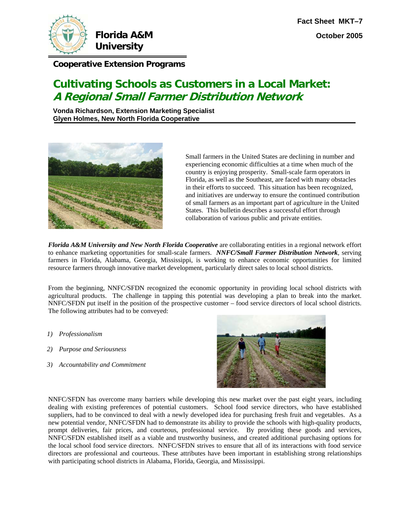

**Florida A&M University** 

**Cooperative Extension Programs**

# **Cultivating Schools as Customers in a Local Market: A Regional Small Farmer Distribution Network**

**Vonda Richardson, Extension Marketing Specialist Glyen Holmes, New North Florida Cooperative** 



Small farmers in the United States are declining in number and experiencing economic difficulties at a time when much of the country is enjoying prosperity. Small-scale farm operators in Florida, as well as the Southeast, are faced with many obstacles in their efforts to succeed. This situation has been recognized, and initiatives are underway to ensure the continued contribution of small farmers as an important part of agriculture in the United States. This bulletin describes a successful effort through collaboration of various public and private entities.

*Florida A&M University and New North Florida Cooperative* are collaborating entities in a regional network effort to enhance marketing opportunities for small-scale farmers. *NNFC/Small Farmer Distribution Network,* serving farmers in Florida, Alabama, Georgia, Mississippi, is working to enhance economic opportunities for limited resource farmers through innovative market development, particularly direct sales to local school districts.

From the beginning, NNFC/SFDN recognized the economic opportunity in providing local school districts with agricultural products. The challenge in tapping this potential was developing a plan to break into the market. NNFC/SFDN put itself in the position of the prospective customer – food service directors of local school districts. The following attributes had to be conveyed:

- *1) Professionalism*
- *2) Purpose and Seriousness*
- *3) Accountability and Commitment*



NNFC/SFDN has overcome many barriers while developing this new market over the past eight years, including dealing with existing preferences of potential customers. School food service directors, who have established suppliers, had to be convinced to deal with a newly developed idea for purchasing fresh fruit and vegetables. As a new potential vendor, NNFC/SFDN had to demonstrate its ability to provide the schools with high-quality products, prompt deliveries, fair prices, and courteous, professional service. By providing these goods and services, NNFC/SFDN established itself as a viable and trustworthy business, and created additional purchasing options for the local school food service directors. NNFC/SFDN strives to ensure that all of its interactions with food service directors are professional and courteous. These attributes have been important in establishing strong relationships with participating school districts in Alabama, Florida, Georgia, and Mississippi.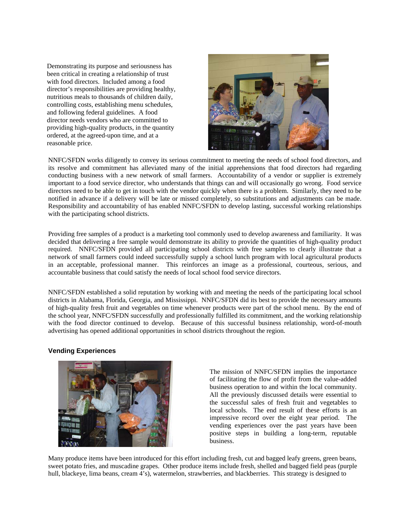Demonstrating its purpose and seriousness has providing high-quality products, in the quantity been critical in creating a relationship of trust with food directors. Included among a food director's responsibilities are providing healthy, nutritious meals to thousands of children daily, controlling costs, establishing menu schedules, and following federal guidelines. A food director needs vendors who are committed to ordered, at the agreed-upon time, and at a reasonable price.



NNFC/SFDN works diligently to convey its serious commitment to meeting the needs of school food directors, and its resolve and commitment has alleviated many of the initial apprehensions that food directors had regarding conducting business with a new network of small farmers. Accountability of a vendor or supplier is extremely important to a food service director, who understands that things can and will occasionally go wrong. Food service directors need to be able to get in touch with the vendor quickly when there is a problem. Similarly, they need to be notified in advance if a delivery will be late or missed completely, so substitutions and adjustments can be made. Responsibility and accountability of has enabled NNFC/SFDN to develop lasting, successful working relationships with the participating school districts.

Providing free samples of a product is a marketing tool commonly used to develop awareness and familiarity. It was decided that delivering a free sample would demonstrate its ability to provide the quantities of high-quality product required. NNFC/SFDN provided all participating school districts with free samples to clearly illustrate that a network of small farmers could indeed successfully supply a school lunch program with local agricultural products in an acceptable, professional manner. This reinforces an image as a professional, courteous, serious, and accountable business that could satisfy the needs of local school food service directors.

NFC/SFDN established a solid reputation by working with and meeting the needs of the participating local school N districts in Alabama, Florida, Georgia, and Mississippi. NNFC/SFDN did its best to provide the necessary amounts of high-quality fresh fruit and vegetables on time whenever products were part of the school menu. By the end of the school year, NNFC/SFDN successfully and professionally fulfilled its commitment, and the working relationship with the food director continued to develop. Because of this successful business relationship, word-of-mouth advertising has opened additional opportunities in school districts throughout the region.

#### **Vending Experiences**



The mission of NNFC/SFDN implies the importance of facilitating the flow of profit from the value-added business operation to and within the local community. All the previously discussed details were essential to the successful sales of fresh fruit and vegetables to local schools. The end result of these efforts is an impressive record over the eight year period. The vending experiences over the past years have been positive steps in building a long-term, reputable business.

Many produce items have been introduced for this effort including fresh, cut and bagged leafy greens, green beans, sweet potato fries, and muscadine grapes. Other produce items include fresh, shelled and bagged field peas (purple hull, blackeye, lima beans, cream 4's), watermelon, strawberries, and blackberries. This strategy is designed to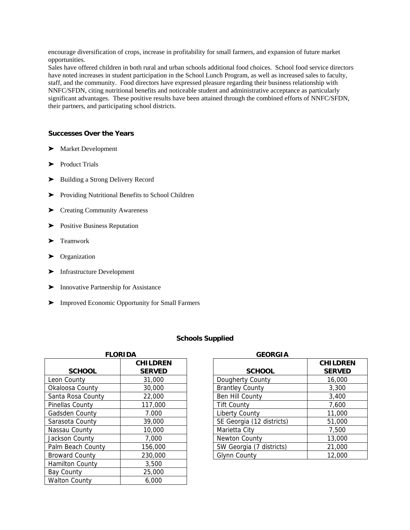encourage diversification of crops, increase in profitability for small farmers, and expansion of future market opportunities.

Sales have offered children in both rural and urban schools additional food choices. School food service directors have noted increases in student participation in the School Lunch Program, as well as increased sales to faculty, staff, and the community. Food directors have expressed pleasure regarding their business relationship with NNFC/SFDN, citing nutritional benefits and noticeable student and administrative acceptance as particularly significant advantages. These positive results have been attained through the combined efforts of NNFC/SFDN, their partners, and participating school districts.

## **Successes Over the Years**

- $\blacktriangleright$  Market Development
- > Product Trials
- $\blacktriangleright$  Building a Strong Delivery Record
- > Providing Nutritional Benefits to School Children
- > Creating Community Awareness
- **Exercise** Positive Business Reputation
- > Teamwork
- riangleright Organization
- $\blacktriangleright$  Infrastructure Development
- **EXECUTE:** Innovative Partnership for Assistance
- ' Improved Economic Opportunity for Small Farmers

#### **Schools Supplied**

| <b>FLORIDA</b>         |                                  |  |
|------------------------|----------------------------------|--|
| <b>SCHOOL</b>          | <b>CHILDREN</b><br><b>SERVED</b> |  |
| Leon County            | 31,000                           |  |
| Okaloosa County        | 30,000                           |  |
| Santa Rosa County      | 22,000                           |  |
| Pinellas County        | 117,000                          |  |
| Gadsden County         | 7.000                            |  |
| Sarasota County        | 39,000                           |  |
| Nassau County          | 10,000                           |  |
| Jackson County         | 7,000                            |  |
| Palm Beach County      | 156,000                          |  |
| <b>Broward County</b>  | 230,000                          |  |
| <b>Hamilton County</b> | 3,500                            |  |
| <b>Bay County</b>      | 25,000                           |  |
| <b>Walton County</b>   | 6.000                            |  |

| <b>GEORGIA</b>            |                                  |
|---------------------------|----------------------------------|
| <b>SCHOOL</b>             | <b>CHILDREN</b><br><b>SERVED</b> |
| Dougherty County          | 16,000                           |
| <b>Brantley County</b>    | 3,300                            |
| Ben Hill County           | 3,400                            |
| <b>Tift County</b>        | 7,600                            |
| <b>Liberty County</b>     | 11,000                           |
| SE Georgia (12 districts) | 51,000                           |
| Marietta City             | 7,500                            |
| Newton County             | 13,000                           |
| SW Georgia (7 districts)  | 21,000                           |
| Glynn County              | 12,000                           |